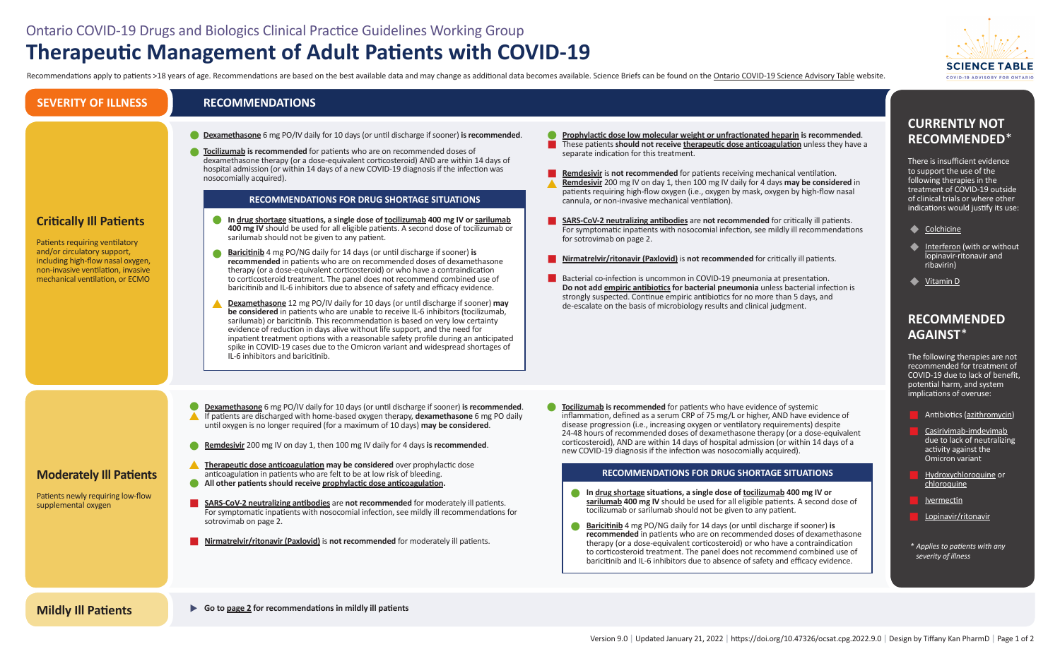# Ontario COVID-19 Drugs and Biologics Clinical Practice Guidelines Working Group **Therapeutic Management of Adult Patients with COVID-19**

Recommendations apply to patients >18 years of age. Recommendations are based on the best available data and may change as additional data becomes available. Science Briefs can be found on the Ontario COVID-19 Science Advi

## **RECOMMENDATIONS**

| <b>Critically III Patients</b><br>Patients requiring ventilatory<br>and/or circulatory support,<br>including high-flow nasal oxygen,<br>non-invasive ventilation, invasive<br>mechanical ventilation, or ECMO | Dexamethasone 6 mg PO/IV daily for 10 days (or until discharge if sooner) is recommended.<br>Tocilizumab is recommended for patients who are on recommended doses of<br>dexamethasone therapy (or a dose-equivalent corticosteroid) AND are within 14 days of<br>hospital admission (or within 14 days of a new COVID-19 diagnosis if the infection was<br>nosocomially acquired).<br><b>RECOMMENDATIONS FOR DRUG SHORTAGE SITUATIONS</b><br>In drug shortage situations, a single dose of tocilizumab 400 mg IV or sarilumab<br>400 mg IV should be used for all eligible patients. A second dose of tocilizumab or<br>sarilumab should not be given to any patient.<br><b>Baricitinib</b> 4 mg PO/NG daily for 14 days (or until discharge if sooner) is<br>recommended in patients who are on recommended doses of dexamethasone<br>therapy (or a dose-equivalent corticosteroid) or who have a contraindication<br>to corticosteroid treatment. The panel does not recommend combined use of<br>baricitinib and IL-6 inhibitors due to absence of safety and efficacy evidence.<br><b>Dexamethasone</b> 12 mg PO/IV daily for 10 days (or until discharge if sooner) may<br>be considered in patients who are unable to receive IL-6 inhibitors (tocilizumab,<br>sarilumab) or baricitinib. This recommendation is based on very low certainty<br>evidence of reduction in days alive without life support, and the need for<br>inpatient treatment options with a reasonable safety profile during an anticipated<br>spike in COVID-19 cases due to the Omicron variant and widespread shortages of<br>IL-6 inhibitors and baricitinib. | <b>Prophylactic dose low</b><br>These patients should<br>separate indication for<br>Remdesivir is not reco<br>Remdesivir 200 mg IV<br>patients requiring high<br>cannula, or non-invasiv<br><b>SARS-CoV-2 neutralizii</b><br>For symptomatic inpat<br>for sotrovimab on page<br>Nirmatrelvir/ritonavir<br>Bacterial co-infection is<br>Do not add empiric an<br>strongly suspected. Co<br>de-escalate on the bas |
|---------------------------------------------------------------------------------------------------------------------------------------------------------------------------------------------------------------|----------------------------------------------------------------------------------------------------------------------------------------------------------------------------------------------------------------------------------------------------------------------------------------------------------------------------------------------------------------------------------------------------------------------------------------------------------------------------------------------------------------------------------------------------------------------------------------------------------------------------------------------------------------------------------------------------------------------------------------------------------------------------------------------------------------------------------------------------------------------------------------------------------------------------------------------------------------------------------------------------------------------------------------------------------------------------------------------------------------------------------------------------------------------------------------------------------------------------------------------------------------------------------------------------------------------------------------------------------------------------------------------------------------------------------------------------------------------------------------------------------------------------------------------------------------------------------------------------------------------------------------------|------------------------------------------------------------------------------------------------------------------------------------------------------------------------------------------------------------------------------------------------------------------------------------------------------------------------------------------------------------------------------------------------------------------|
| <b>Moderately III Patients</b><br>Patients newly requiring low-flow<br>supplemental oxygen                                                                                                                    | <b>Dexamethasone</b> 6 mg PO/IV daily for 10 days (or until discharge if sooner) is recommended.<br>If patients are discharged with home-based oxygen therapy, dexamethasone 6 mg PO daily<br>until oxygen is no longer required (for a maximum of 10 days) may be considered.<br>Remdesivir 200 mg IV on day 1, then 100 mg IV daily for 4 days is recommended.<br>Therapeutic dose anticoagulation may be considered over prophylactic dose<br>anticoagulation in patients who are felt to be at low risk of bleeding.<br>All other patients should receive prophylactic dose anticoagulation.<br><b>SARS-CoV-2 neutralizing antibodies</b> are not recommended for moderately ill patients.<br>For symptomatic inpatients with nosocomial infection, see mildly ill recommendations for<br>sotrovimab on page 2.<br><b>Nirmatrelvir/ritonavir (Paxlovid)</b> is not recommended for moderately ill patients.                                                                                                                                                                                                                                                                                                                                                                                                                                                                                                                                                                                                                                                                                                                              | <b>Tocilizumab</b> is recomm<br>inflammation, defined<br>disease progression (i.e<br>24-48 hours of recomn<br>corticosteroid), AND ar<br>new COVID-19 diagnos<br><b>RECOMM</b><br>In drug shortage<br>sarilumab 400 r<br>tocilizumab or s<br><b>Baricitinib</b> 4 mg<br>recommended<br>therapy (or a do<br>to corticosteroid<br>baricitinib and I                                                                |

**In [drug shortage](https://covid19-sciencetable.ca/sciencebrief/strategies-to-manage-tocilizumab-supply-during-the-covid-19-pandemic/) situations, a single dose of tocilizumab 400 mg IV or mg IV** should be used for all eligible patients. A second dose of sarilumab should not be given to any patient.

**[Baricitinib](https://covid19-sciencetable.ca/sciencebrief/baricitinib-for-hospitalized-patients-with-covid-19/)** 4 mg PO/NG daily for 14 days (or until discharge if sooner) **is**  in patients who are on recommended doses of dexamethasone ose-equivalent corticosteroid) or who have a contraindication id treatment. The panel does not recommend combined use of IL-6 inhibitors due to absence of safety and efficacy evidence.

**Example 1** Interferon (with or without lopinavir-ritonavir and ribavirin)

- Antibiotics [\(azithromycin\)](https://covid19-sciencetable.ca/sciencebrief/evidence-based-use-of-therapeutics-for-ambulatory-patients-with-covid-19/)
- Casirivimab-imdevimab due to lack of neutralizing activity against the Omicron variant
- Hydroxychloroquine or chloroquine
- <u>[Ivermectin](https://covid19-sciencetable.ca/sciencebrief/evidence-based-use-of-therapeutics-for-ambulatory-patients-with-covid-19/)</u>
- Lopinavir/ritonavir
- *\* Applies to patients with any severity of illness*

u **Go to [page 2](#page-1-0) for recommendations in mildly ill patients** 

## **CURRENTLY NOT RECOMMENDED**\*

There is insufficient evidence to support the use of the following therapies in the treatment of COVID-19 outside of clinical trials or where other indications would justify its use:





## **RECOMMENDED AGAINST**\*

The following therapies are not recommended for treatment of COVID-19 due to lack of benefit, potential harm, and system implications of overuse:



**molecular weight or unfractionated heparin** is recommended. not receive **[therapeutic dose anticoagulation](https://covid19-sciencetable.ca/sciencebrief/heparin-anticoagulation-for-hospitalized-patients-with-covid-19/)** unless they have a this treatment.

**EXEDM** is *notients* receiving mechanical ventilation. on day 1, then 100 mg IV daily for 4 days **may be considered** in flow oxygen (i.e., oxygen by mask, oxygen by high-flow nasal ve mechanical ventilation).

**ng antibodies** are not recommended for critically ill patients. tients with nosocomial infection, see mildly ill recommendations  $e2.$ 

**(Paxlovid)** is **not recommended** for critically ill patients.

is uncommon in COVID-19 pneumonia at presentation. **htibiotics for bacterial pneumonia** unless bacterial infection is ontinue empiric antibiotics for no more than 5 days, and sis of microbiology results and clinical judgment.

**nended** for patients who have evidence of systemic as a serum CRP of 75 mg/L or higher, AND have evidence of e., increasing oxygen or ventilatory requirements) despite nended doses of dexamethasone therapy (or a dose-equivalent re within 14 days of hospital admission (or within 14 days of a sis if the infection was nosocomially acquired).

#### **ENDATIONS FOR DRUG SHORTAGE SITUATIONS**

## **Mildly Ill Patients**

## **SEVERITY OF ILLNESS**